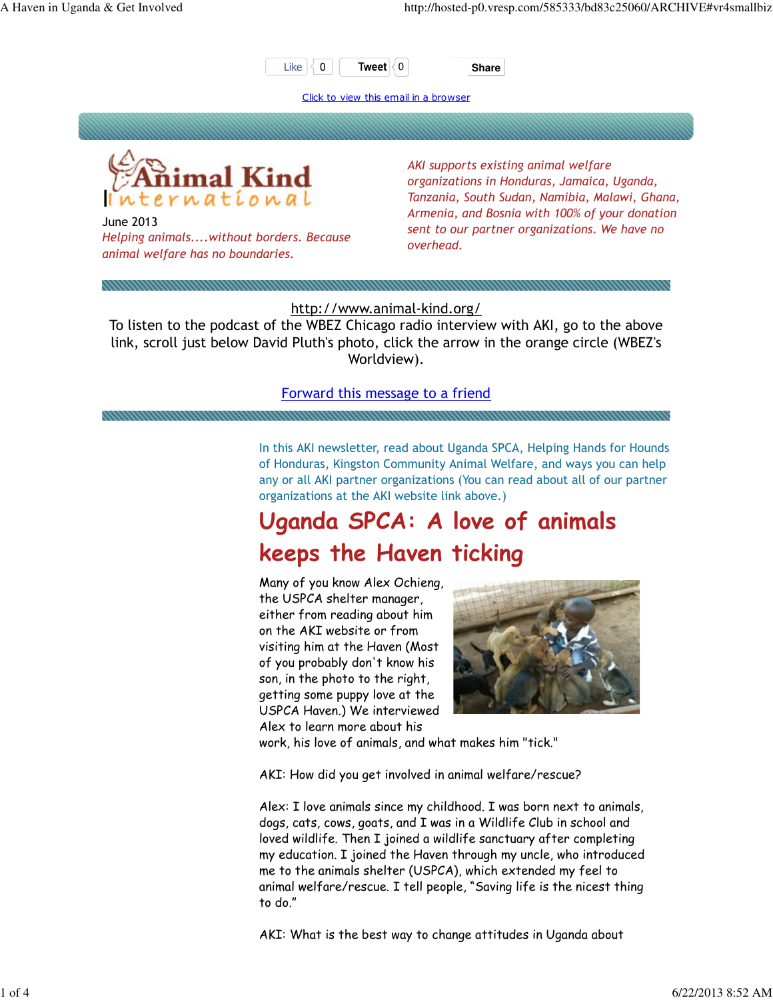

Click to view this email in a browser





June 2013 Helping animals....without borders. Because animal welfare has no boundaries.

AKI supports existing animal welfare organizations in Honduras, Jamaica, Uganda, Tanzania, South Sudan, Namibia, Malawi, Ghana, Armenia, and Bosnia with 100% of your donation sent to our partner organizations. We have no overhead.

http://www.animal-kind.org/

To listen to the podcast of the WBEZ Chicago radio interview with AKI, go to the above link, scroll just below David Pluth's photo, click the arrow in the orange circle (WBEZ's Worldview).

#### Forward this message to a friend

In this AKI newsletter, read about Uganda SPCA, Helping Hands for Hounds of Honduras, Kingston Community Animal Welfare, and ways you can help any or all AKI partner organizations (You can read about all of our partner organizations at the AKI website link above.)

### Uganda SPCA: A love of animals keeps the Haven ticking

Many of you know Alex Ochieng, the USPCA shelter manager, either from reading about him on the AKI website or from visiting him at the Haven (Most of you probably don't know his son, in the photo to the right, getting some puppy love at the USPCA Haven.) We interviewed Alex to learn more about his



work, his love of animals, and what makes him "tick."

AKI: How did you get involved in animal welfare/rescue?

Alex: I love animals since my childhood. I was born next to animals, dogs, cats, cows, goats, and I was in a Wildlife Club in school and loved wildlife. Then I joined a wildlife sanctuary after completing my education. I joined the Haven through my uncle, who introduced me to the animals shelter (USPCA), which extended my feel to animal welfare/rescue. I tell people, "Saving life is the nicest thing to do."

AKI: What is the best way to change attitudes in Uganda about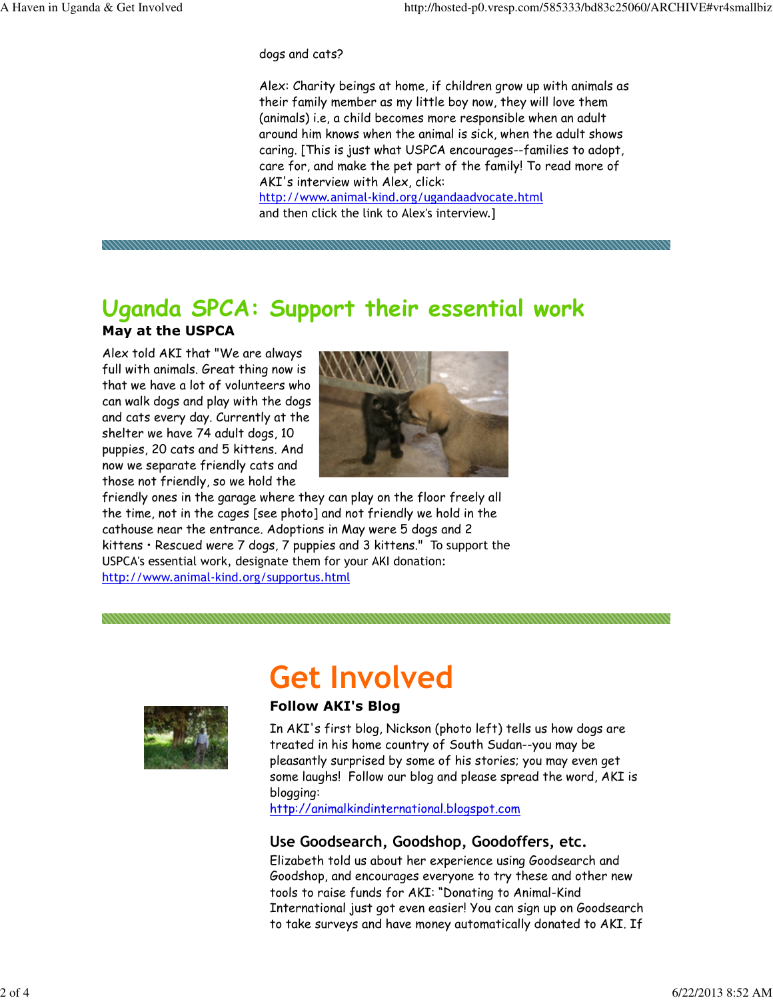dogs and cats?

Alex: Charity beings at home, if children grow up with animals as their family member as my little boy now, they will love them (animals) i.e, a child becomes more responsible when an adult around him knows when the animal is sick, when the adult shows caring. [This is just what USPCA encourages--families to adopt, care for, and make the pet part of the family! To read more of AKI's interview with Alex, click: http://www.animal-kind.org/ugandaadvocate.html

and then click the link to Alex's interview.]

### Uganda SPCA: Support their essential work

#### May at the USPCA

Alex told AKI that "We are always full with animals. Great thing now is that we have a lot of volunteers who can walk dogs and play with the dogs and cats every day. Currently at the shelter we have 74 adult dogs, 10 puppies, 20 cats and 5 kittens. And now we separate friendly cats and those not friendly, so we hold the



friendly ones in the garage where they can play on the floor freely all the time, not in the cages [see photo] and not friendly we hold in the cathouse near the entrance. Adoptions in May were 5 dogs and 2 kittens • Rescued were 7 dogs, 7 puppies and 3 kittens." To support the USPCA's essential work, designate them for your AKI donation: http://www.animal-kind.org/supportus.html



# Get Involved

#### Follow AKI's Blog

In AKI's first blog, Nickson (photo left) tells us how dogs are treated in his home country of South Sudan--you may be pleasantly surprised by some of his stories; you may even get some laughs! Follow our blog and please spread the word, AKI is blogging:

http://animalkindinternational.blogspot.com

### Use Goodsearch, Goodshop, Goodoffers, etc.

Elizabeth told us about her experience using Goodsearch and Goodshop, and encourages everyone to try these and other new tools to raise funds for AKI: "Donating to Animal-Kind International just got even easier! You can sign up on Goodsearch to take surveys and have money automatically donated to AKI. If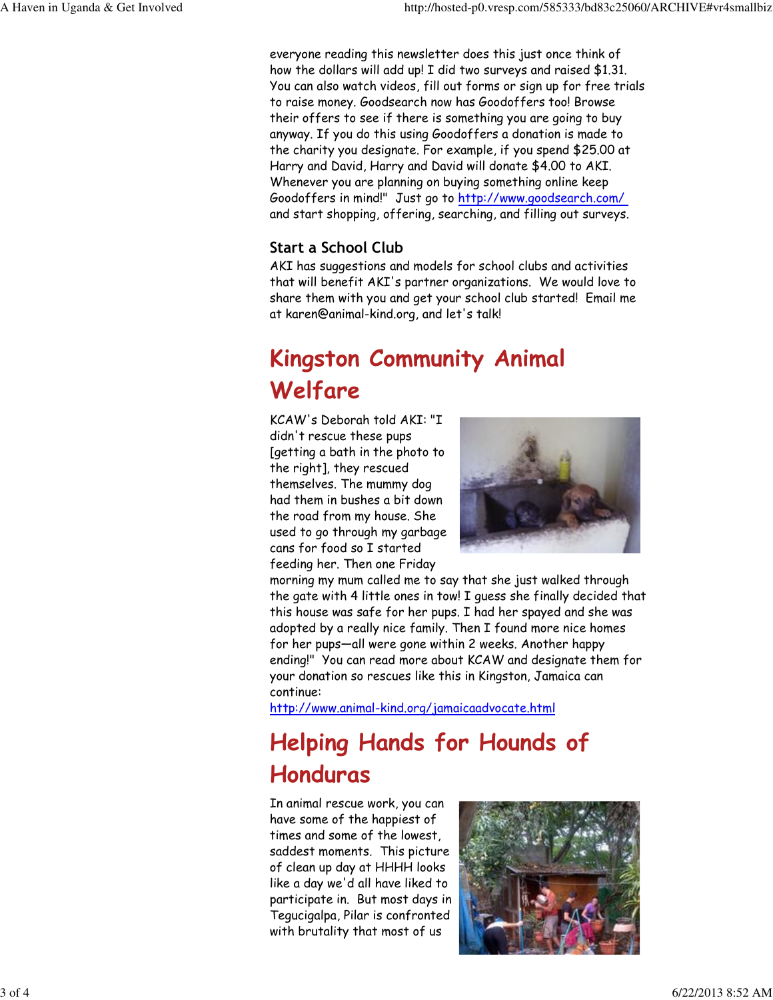everyone reading this newsletter does this just once think of how the dollars will add up! I did two surveys and raised \$1.31. You can also watch videos, fill out forms or sign up for free trials to raise money. Goodsearch now has Goodoffers too! Browse their offers to see if there is something you are going to buy anyway. If you do this using Goodoffers a donation is made to the charity you designate. For example, if you spend \$25.00 at Harry and David, Harry and David will donate \$4.00 to AKI. Whenever you are planning on buying something online keep Goodoffers in mind!" Just go to http://www.goodsearch.com/ and start shopping, offering, searching, and filling out surveys.

### Start a School Club

AKI has suggestions and models for school clubs and activities that will benefit AKI's partner organizations. We would love to share them with you and get your school club started! Email me at karen@animal-kind.org, and let's talk!

## Kingston Community Animal Welfare

KCAW's Deborah told AKI: "I didn't rescue these pups [getting a bath in the photo to the right], they rescued themselves. The mummy dog had them in bushes a bit down the road from my house. She used to go through my garbage cans for food so I started feeding her. Then one Friday



morning my mum called me to say that she just walked through the gate with 4 little ones in tow! I guess she finally decided that this house was safe for her pups. I had her spayed and she was adopted by a really nice family. Then I found more nice homes for her pups—all were gone within 2 weeks. Another happy ending!" You can read more about KCAW and designate them for your donation so rescues like this in Kingston, Jamaica can continue:

http://www.animal-kind.org/jamaicaadvocate.html

# Helping Hands for Hounds of Honduras

In animal rescue work, you can have some of the happiest of times and some of the lowest, saddest moments. This picture of clean up day at HHHH looks like a day we'd all have liked to participate in. But most days in Tegucigalpa, Pilar is confronted with brutality that most of us